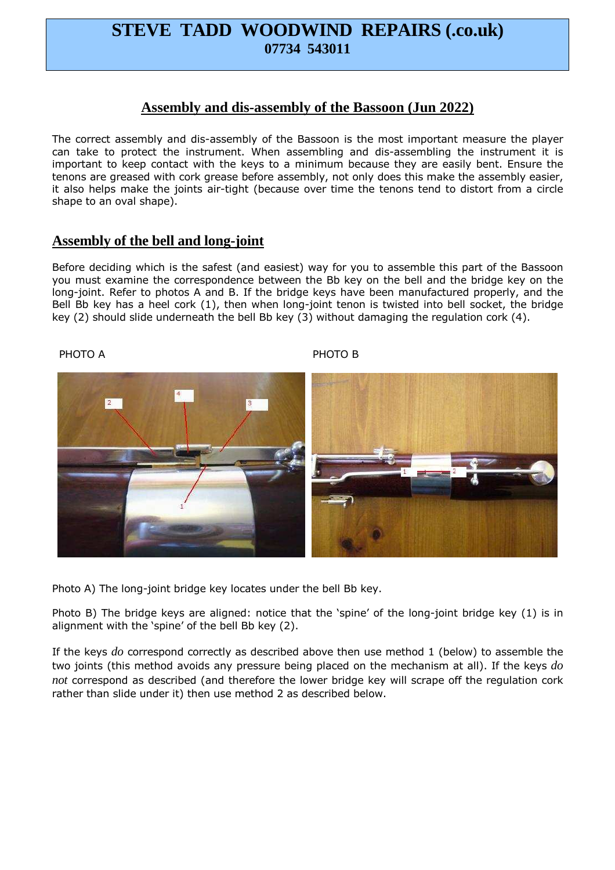# **STEVE TADD WOODWIND REPAIRS (.co.uk) 07734 543011**

### **Assembly and dis-assembly of the Bassoon (Jun 2022)**

The correct assembly and dis-assembly of the Bassoon is the most important measure the player can take to protect the instrument. When assembling and dis-assembling the instrument it is important to keep contact with the keys to a minimum because they are easily bent. Ensure the tenons are greased with cork grease before assembly, not only does this make the assembly easier, it also helps make the joints air-tight (because over time the tenons tend to distort from a circle shape to an oval shape).

#### **Assembly of the bell and long-joint**

Before deciding which is the safest (and easiest) way for you to assemble this part of the Bassoon you must examine the correspondence between the Bb key on the bell and the bridge key on the long-joint. Refer to photos A and B. If the bridge keys have been manufactured properly, and the Bell Bb key has a heel cork (1), then when long-joint tenon is twisted into bell socket, the bridge key (2) should slide underneath the bell Bb key (3) without damaging the regulation cork (4).



Photo A) The long-joint bridge key locates under the bell Bb key.

Photo B) The bridge keys are aligned: notice that the 'spine' of the long-joint bridge key (1) is in alignment with the 'spine' of the bell Bb key (2).

If the keys *do* correspond correctly as described above then use method 1 (below) to assemble the two joints (this method avoids any pressure being placed on the mechanism at all). If the keys *do not* correspond as described (and therefore the lower bridge key will scrape off the regulation cork rather than slide under it) then use method 2 as described below.

PHOTO A PHOTO B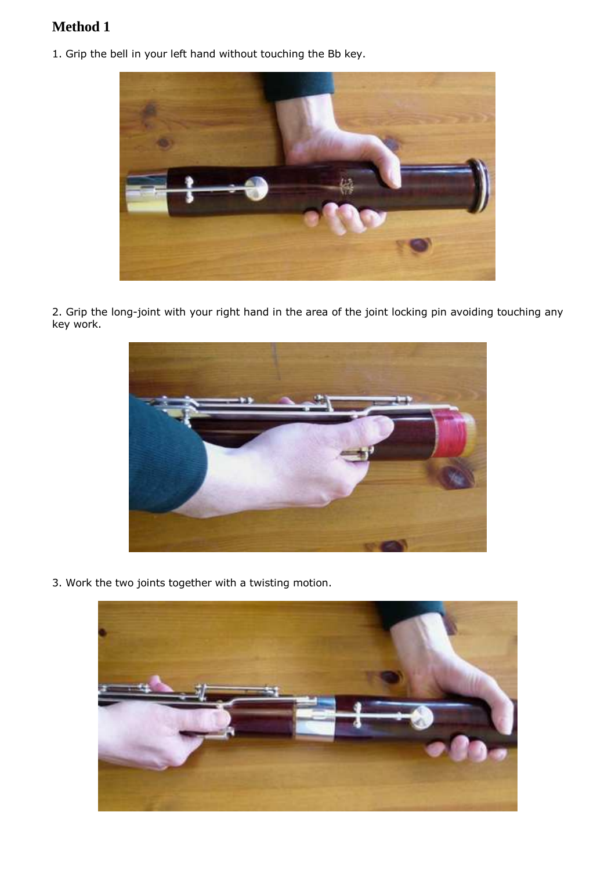## **Method 1**

1. Grip the bell in your left hand without touching the Bb key.



2. Grip the long-joint with your right hand in the area of the joint locking pin avoiding touching any key work.



3. Work the two joints together with a twisting motion.

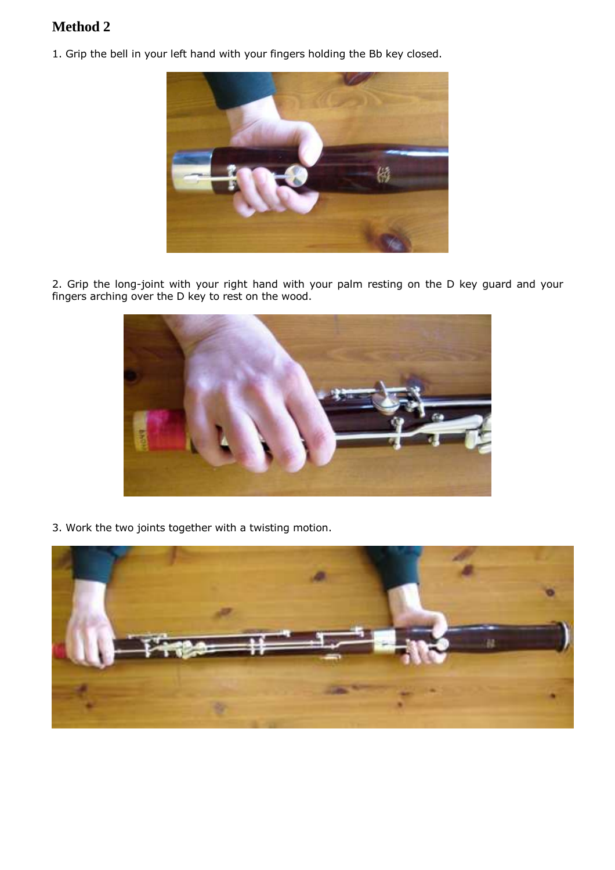## **Method 2**

1. Grip the bell in your left hand with your fingers holding the Bb key closed.



2. Grip the long-joint with your right hand with your palm resting on the D key guard and your fingers arching over the D key to rest on the wood.



3. Work the two joints together with a twisting motion.

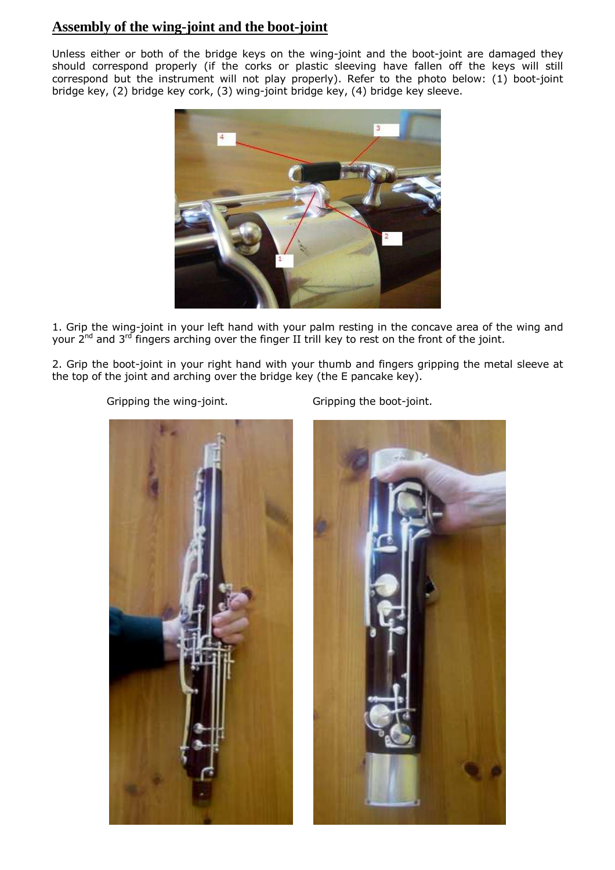### **Assembly of the wing-joint and the boot-joint**

Unless either or both of the bridge keys on the wing-joint and the boot-joint are damaged they should correspond properly (if the corks or plastic sleeving have fallen off the keys will still correspond but the instrument will not play properly). Refer to the photo below: (1) boot-joint bridge key, (2) bridge key cork, (3) wing-joint bridge key, (4) bridge key sleeve.



1. Grip the wing-joint in your left hand with your palm resting in the concave area of the wing and your 2<sup>nd</sup> and 3<sup>rd</sup> fingers arching over the finger II trill key to rest on the front of the joint.

2. Grip the boot-joint in your right hand with your thumb and fingers gripping the metal sleeve at the top of the joint and arching over the bridge key (the E pancake key).

Gripping the wing-joint. Gripping the boot-joint.



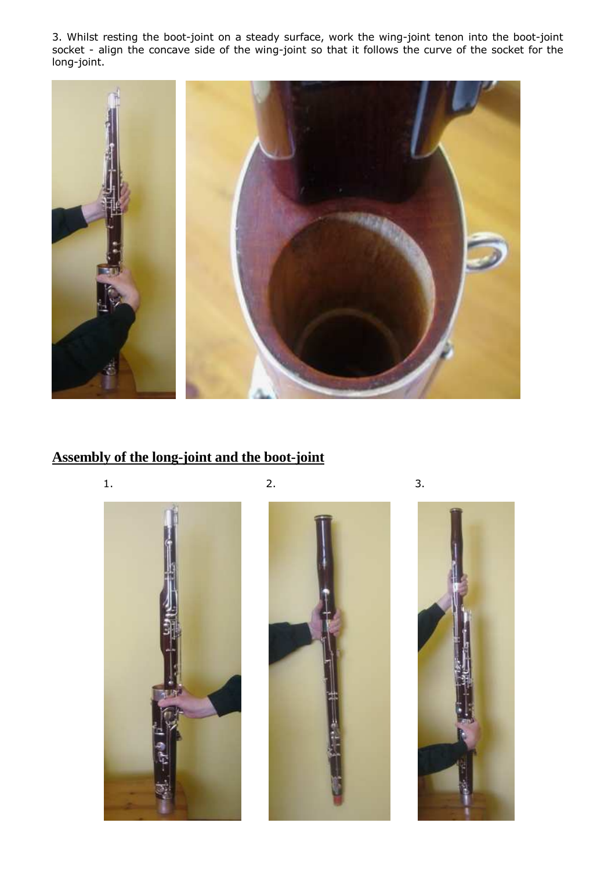3. Whilst resting the boot-joint on a steady surface, work the wing-joint tenon into the boot-joint socket - align the concave side of the wing-joint so that it follows the curve of the socket for the long-joint.



# **Assembly of the long-joint and the boot-joint**





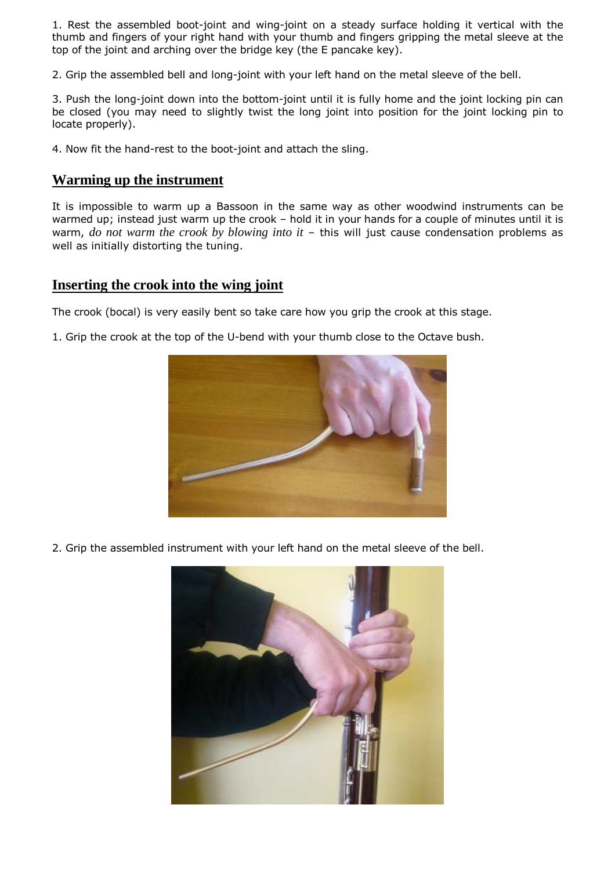1. Rest the assembled boot-joint and wing-joint on a steady surface holding it vertical with the thumb and fingers of your right hand with your thumb and fingers gripping the metal sleeve at the top of the joint and arching over the bridge key (the E pancake key).

2. Grip the assembled bell and long-joint with your left hand on the metal sleeve of the bell.

3. Push the long-joint down into the bottom-joint until it is fully home and the joint locking pin can be closed (you may need to slightly twist the long joint into position for the joint locking pin to locate properly).

4. Now fit the hand-rest to the boot-joint and attach the sling.

#### **Warming up the instrument**

It is impossible to warm up a Bassoon in the same way as other woodwind instruments can be warmed up; instead just warm up the crook - hold it in your hands for a couple of minutes until it is warm, *do not warm the crook by blowing into it* – this will just cause condensation problems as well as initially distorting the tuning.

#### **Inserting the crook into the wing joint**

The crook (bocal) is very easily bent so take care how you grip the crook at this stage.

1. Grip the crook at the top of the U-bend with your thumb close to the Octave bush.



2. Grip the assembled instrument with your left hand on the metal sleeve of the bell.

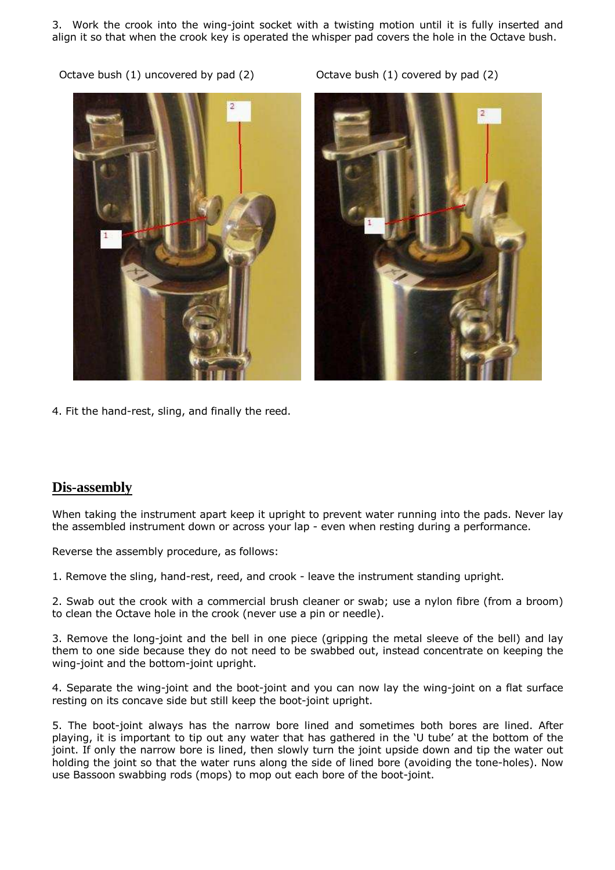3. Work the crook into the wing-joint socket with a twisting motion until it is fully inserted and align it so that when the crook key is operated the whisper pad covers the hole in the Octave bush.

Octave bush (1) uncovered by pad (2) Octave bush (1) covered by pad (2)





4. Fit the hand-rest, sling, and finally the reed.

#### **Dis-assembly**

When taking the instrument apart keep it upright to prevent water running into the pads. Never lay the assembled instrument down or across your lap - even when resting during a performance.

Reverse the assembly procedure, as follows:

1. Remove the sling, hand-rest, reed, and crook - leave the instrument standing upright.

2. Swab out the crook with a commercial brush cleaner or swab; use a nylon fibre (from a broom) to clean the Octave hole in the crook (never use a pin or needle).

3. Remove the long-joint and the bell in one piece (gripping the metal sleeve of the bell) and lay them to one side because they do not need to be swabbed out, instead concentrate on keeping the wing-joint and the bottom-joint upright.

4. Separate the wing-joint and the boot-joint and you can now lay the wing-joint on a flat surface resting on its concave side but still keep the boot-joint upright.

5. The boot-joint always has the narrow bore lined and sometimes both bores are lined. After playing, it is important to tip out any water that has gathered in the 'U tube' at the bottom of the joint. If only the narrow bore is lined, then slowly turn the joint upside down and tip the water out holding the joint so that the water runs along the side of lined bore (avoiding the tone-holes). Now use Bassoon swabbing rods (mops) to mop out each bore of the boot-joint.